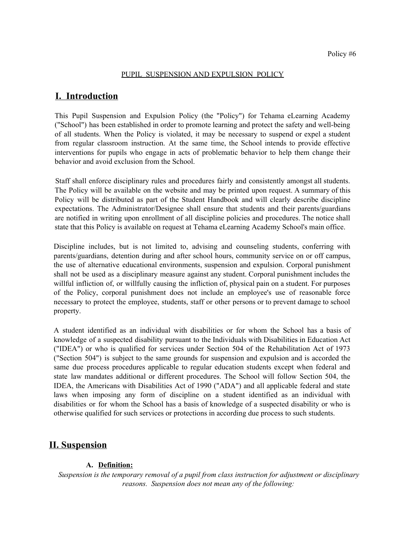#### PUPIL SUSPENSION AND EXPULSION POLICY

# **I. Introduction**

This Pupil Suspension and Expulsion Policy (the "Policy") for Tehama eLearning Academy ("School") has been established in order to promote learning and protect the safety and well-being of all students. When the Policy is violated, it may be necessary to suspend or expel a student from regular classroom instruction. At the same time, the School intends to provide effective interventions for pupils who engage in acts of problematic behavior to help them change their behavior and avoid exclusion from the School.

Staff shall enforce disciplinary rules and procedures fairly and consistently amongst all students. The Policy will be available on the website and may be printed upon request. A summary of this Policy will be distributed as part of the Student Handbook and will clearly describe discipline expectations. The Administrator/Designee shall ensure that students and their parents/guardians are notified in writing upon enrollment of all discipline policies and procedures. The notice shall state that this Policy is available on request at Tehama eLearning Academy School's main office.

Discipline includes, but is not limited to, advising and counseling students, conferring with parents/guardians, detention during and after school hours, community service on or off campus, the use of alternative educational environments, suspension and expulsion. Corporal punishment shall not be used as a disciplinary measure against any student. Corporal punishment includes the willful infliction of, or willfully causing the infliction of, physical pain on a student. For purposes of the Policy, corporal punishment does not include an employee's use of reasonable force necessary to protect the employee, students, staff or other persons or to prevent damage to school property.

A student identified as an individual with disabilities or for whom the School has a basis of knowledge of a suspected disability pursuant to the Individuals with Disabilities in Education Act ("IDEA") or who is qualified for services under Section 504 of the Rehabilitation Act of 1973 ("Section 504") is subject to the same grounds for suspension and expulsion and is accorded the same due process procedures applicable to regular education students except when federal and state law mandates additional or different procedures. The School will follow Section 504, the IDEA, the Americans with Disabilities Act of 1990 ("ADA") and all applicable federal and state laws when imposing any form of discipline on a student identified as an individual with disabilities or for whom the School has a basis of knowledge of a suspected disability or who is otherwise qualified for such services or protections in according due process to such students.

# **II. Suspension**

### **A. Definition:**

*Suspension is the temporary removal of a pupil from class instruction for adjustment or disciplinary reasons. Suspension does not mean any of the following:*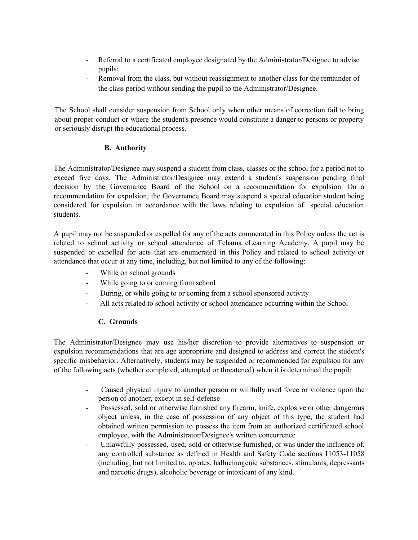- Referral to a certificated employee designated by the Administrator/Designee to advise pupils;
- Removal from the class, but without reassignment to another class for the remainder of the class period without sending the pupil to the Administrator/Designee.

The School shall consider suspension from School only when other means of correction fail to bring about proper conduct or where the student's presence would constitute a danger to persons or property or seriously disrupt the educational process.

# **B. Authority**

The Administrator/Designee may suspend a student from class, classes or the school for a period not to exceed five days. The Administrator/Designee may extend a student's suspension pending final decision by the Governance Board of the School on a recommendation for expulsion. On a recommendation for expulsion, the Governance Board may suspend a special education student being considered for expulsion in accordance with the laws relating to expulsion of special education students.

A pupil may not be suspended or expelled for any of the acts enumerated in this Policy unless the act is related to school activity or school attendance of Tehama eLearning Academy. A pupil may be suspended or expelled for acts that are enumerated in this Policy and related to school activity or attendance that occur at any time, including, but not limited to any of the following:

- While on school grounds
- While going to or coming from school
- During, or while going to or coming from a school sponsored activity
- All acts related to school activity or school attendance occurring within the School

# **C. Grounds**

The Administrator/Designee may use his/her discretion to provide alternatives to suspension or expulsion recommendations that are age appropriate and designed to address and correct the student's specific misbehavior. Alternatively, students may be suspended or recommended for expulsion for any of the following acts (whether completed, attempted or threatened) when it is determined the pupil:

- Caused physical injury to another person or willfully used force or violence upon the person of another, except in self-defense
- Possessed, sold or otherwise furnished any firearm, knife, explosive or other dangerous object unless, in the case of possession of any object of this type, the student had obtained written permission to possess the item from an authorized certificated school employee, with the Administrator/Designee's written concurrence
- Unlawfully possessed, used, sold or otherwise furnished, or was under the influence of, any controlled substance as defined in Health and Safety Code sections 11053-11058 (including, but not limited to, opiates, hallucinogenic substances, stimulants, depressants and narcotic drugs), alcoholic beverage or intoxicant of any kind.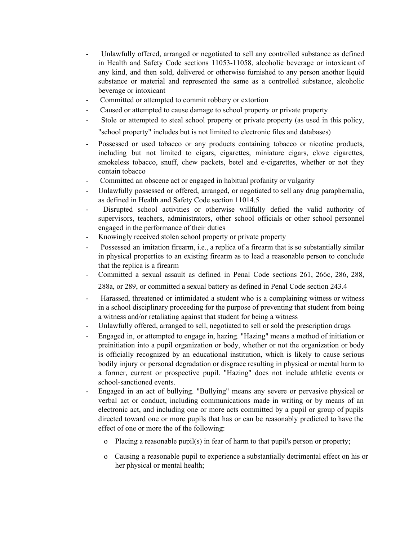- Unlawfully offered, arranged or negotiated to sell any controlled substance as defined in Health and Safety Code sections 11053-11058, alcoholic beverage or intoxicant of any kind, and then sold, delivered or otherwise furnished to any person another liquid substance or material and represented the same as a controlled substance, alcoholic beverage or intoxicant
- Committed or attempted to commit robbery or extortion
- Caused or attempted to cause damage to school property or private property
- Stole or attempted to steal school property or private property (as used in this policy, "school property" includes but is not limited to electronic files and databases)
- Possessed or used tobacco or any products containing tobacco or nicotine products, including but not limited to cigars, cigarettes, miniature cigars, clove cigarettes, smokeless tobacco, snuff, chew packets, betel and e-cigarettes, whether or not they contain tobacco
- Committed an obscene act or engaged in habitual profanity or vulgarity
- Unlawfully possessed or offered, arranged, or negotiated to sell any drug paraphernalia, as defined in Health and Safety Code section 11014.5
- Disrupted school activities or otherwise willfully defied the valid authority of supervisors, teachers, administrators, other school officials or other school personnel engaged in the performance of their duties
- Knowingly received stolen school property or private property
- Possessed an imitation firearm, i.e., a replica of a firearm that is so substantially similar in physical properties to an existing firearm as to lead a reasonable person to conclude that the replica is a firearm
- Committed a sexual assault as defined in Penal Code sections 261, 266c, 286, 288, 288a, or 289, or committed a sexual battery as defined in Penal Code section 243.4
- Harassed, threatened or intimidated a student who is a complaining witness or witness in a school disciplinary proceeding for the purpose of preventing that student from being a witness and/or retaliating against that student for being a witness
- Unlawfully offered, arranged to sell, negotiated to sell or sold the prescription drugs
- Engaged in, or attempted to engage in, hazing. "Hazing" means a method of initiation or preinitiation into a pupil organization or body, whether or not the organization or body is officially recognized by an educational institution, which is likely to cause serious bodily injury or personal degradation or disgrace resulting in physical or mental harm to a former, current or prospective pupil. "Hazing" does not include athletic events or school-sanctioned events.
- Engaged in an act of bullying. "Bullying" means any severe or pervasive physical or verbal act or conduct, including communications made in writing or by means of an electronic act, and including one or more acts committed by a pupil or group of pupils directed toward one or more pupils that has or can be reasonably predicted to have the effect of one or more the of the following:
	- o Placing a reasonable pupil(s) in fear of harm to that pupil's person or property;
	- o Causing a reasonable pupil to experience a substantially detrimental effect on his or her physical or mental health;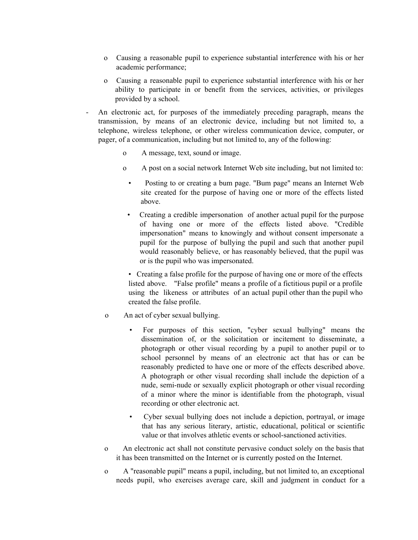- o Causing a reasonable pupil to experience substantial interference with his or her academic performance;
- o Causing a reasonable pupil to experience substantial interference with his or her ability to participate in or benefit from the services, activities, or privileges provided by a school.
- An electronic act, for purposes of the immediately preceding paragraph, means the transmission, by means of an electronic device, including but not limited to, a telephone, wireless telephone, or other wireless communication device, computer, or pager, of a communication, including but not limited to, any of the following:
	- o A message, text, sound or image.
	- o A post on a social network Internet Web site including, but not limited to:
		- Posting to or creating a bum page. "Bum page" means an Internet Web site created for the purpose of having one or more of the effects listed above.
		- Creating a credible impersonation of another actual pupil for the purpose of having one or more of the effects listed above. "Credible impersonation" means to knowingly and without consent impersonate a pupil for the purpose of bullying the pupil and such that another pupil would reasonably believe, or has reasonably believed, that the pupil was or is the pupil who was impersonated.

• Creating a false profile for the purpose of having one or more of the effects listed above. "False profile" means a profile of a fictitious pupil or a profile using the likeness or attributes of an actual pupil other than the pupil who created the false profile.

- o An act of cyber sexual bullying.
	- For purposes of this section, "cyber sexual bullying" means the dissemination of, or the solicitation or incitement to disseminate, a photograph or other visual recording by a pupil to another pupil or to school personnel by means of an electronic act that has or can be reasonably predicted to have one or more of the effects described above. A photograph or other visual recording shall include the depiction of a nude, semi-nude or sexually explicit photograph or other visual recording of a minor where the minor is identifiable from the photograph, visual recording or other electronic act.
	- Cyber sexual bullying does not include a depiction, portrayal, or image that has any serious literary, artistic, educational, political or scientific value or that involves athletic events or school-sanctioned activities.
- o An electronic act shall not constitute pervasive conduct solely on the basis that it has been transmitted on the Internet or is currently posted on the Internet.
- o A "reasonable pupil" means a pupil, including, but not limited to, an exceptional needs pupil, who exercises average care, skill and judgment in conduct for a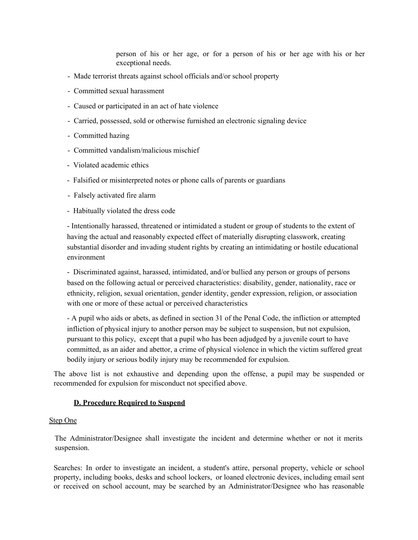person of his or her age, or for a person of his or her age with his or her exceptional needs.

- Made terrorist threats against school officials and/or school property
- Committed sexual harassment
- Caused or participated in an act of hate violence
- Carried, possessed, sold or otherwise furnished an electronic signaling device
- Committed hazing
- Committed vandalism/malicious mischief
- Violated academic ethics
- Falsified or misinterpreted notes or phone calls of parents or guardians
- Falsely activated fire alarm
- Habitually violated the dress code

- Intentionally harassed, threatened or intimidated a student or group of students to the extent of having the actual and reasonably expected effect of materially disrupting classwork, creating substantial disorder and invading student rights by creating an intimidating or hostile educational environment

- Discriminated against, harassed, intimidated, and/or bullied any person or groups of persons based on the following actual or perceived characteristics: disability, gender, nationality, race or ethnicity, religion, sexual orientation, gender identity, gender expression, religion, or association with one or more of these actual or perceived characteristics

- A pupil who aids or abets, as defined in section 31 of the Penal Code, the infliction or attempted infliction of physical injury to another person may be subject to suspension, but not expulsion, pursuant to this policy, except that a pupil who has been adjudged by a juvenile court to have committed, as an aider and abettor, a crime of physical violence in which the victim suffered great bodily injury or serious bodily injury may be recommended for expulsion.

The above list is not exhaustive and depending upon the offense, a pupil may be suspended or recommended for expulsion for misconduct not specified above.

#### **D. Procedure Required to Suspend**

#### Step One

The Administrator/Designee shall investigate the incident and determine whether or not it merits suspension.

Searches: In order to investigate an incident, a student's attire, personal property, vehicle or school property, including books, desks and school lockers, or loaned electronic devices, including email sent or received on school account, may be searched by an Administrator/Designee who has reasonable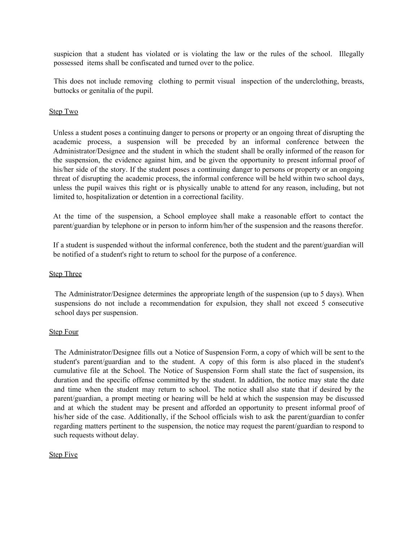suspicion that a student has violated or is violating the law or the rules of the school. Illegally possessed items shall be confiscated and turned over to the police.

This does not include removing clothing to permit visual inspection of the underclothing, breasts, buttocks or genitalia of the pupil.

#### Step Two

Unless a student poses a continuing danger to persons or property or an ongoing threat of disrupting the academic process, a suspension will be preceded by an informal conference between the Administrator/Designee and the student in which the student shall be orally informed of the reason for the suspension, the evidence against him, and be given the opportunity to present informal proof of his/her side of the story. If the student poses a continuing danger to persons or property or an ongoing threat of disrupting the academic process, the informal conference will be held within two school days, unless the pupil waives this right or is physically unable to attend for any reason, including, but not limited to, hospitalization or detention in a correctional facility.

At the time of the suspension, a School employee shall make a reasonable effort to contact the parent/guardian by telephone or in person to inform him/her of the suspension and the reasons therefor.

If a student is suspended without the informal conference, both the student and the parent/guardian will be notified of a student's right to return to school for the purpose of a conference.

#### Step Three

The Administrator/Designee determines the appropriate length of the suspension (up to 5 days). When suspensions do not include a recommendation for expulsion, they shall not exceed 5 consecutive school days per suspension.

#### Step Four

The Administrator/Designee fills out a Notice of Suspension Form, a copy of which will be sent to the student's parent/guardian and to the student. A copy of this form is also placed in the student's cumulative file at the School. The Notice of Suspension Form shall state the fact of suspension, its duration and the specific offense committed by the student. In addition, the notice may state the date and time when the student may return to school. The notice shall also state that if desired by the parent/guardian, a prompt meeting or hearing will be held at which the suspension may be discussed and at which the student may be present and afforded an opportunity to present informal proof of his/her side of the case. Additionally, if the School officials wish to ask the parent/guardian to confer regarding matters pertinent to the suspension, the notice may request the parent/guardian to respond to such requests without delay.

#### **Step Five**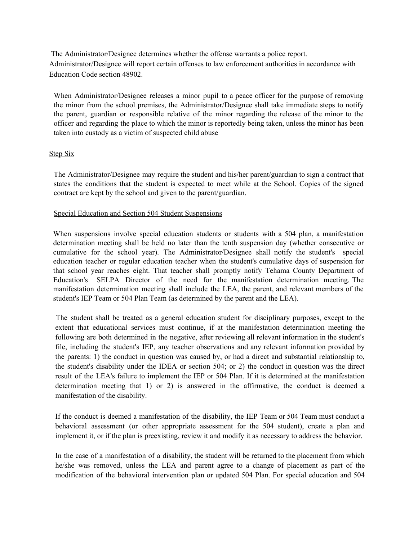The Administrator/Designee determines whether the offense warrants a police report. Administrator/Designee will report certain offenses to law enforcement authorities in accordance with Education Code section 48902.

When Administrator/Designee releases a minor pupil to a peace officer for the purpose of removing the minor from the school premises, the Administrator/Designee shall take immediate steps to notify the parent, guardian or responsible relative of the minor regarding the release of the minor to the officer and regarding the place to which the minor is reportedly being taken, unless the minor has been taken into custody as a victim of suspected child abuse

# Step Six

The Administrator/Designee may require the student and his/her parent/guardian to sign a contract that states the conditions that the student is expected to meet while at the School. Copies of the signed contract are kept by the school and given to the parent/guardian.

# Special Education and Section 504 Student Suspensions

When suspensions involve special education students or students with a 504 plan, a manifestation determination meeting shall be held no later than the tenth suspension day (whether consecutive or cumulative for the school year). The Administrator/Designee shall notify the student's special education teacher or regular education teacher when the student's cumulative days of suspension for that school year reaches eight. That teacher shall promptly notify Tehama County Department of Education's SELPA Director of the need for the manifestation determination meeting. The manifestation determination meeting shall include the LEA, the parent, and relevant members of the student's IEP Team or 504 Plan Team (as determined by the parent and the LEA).

The student shall be treated as a general education student for disciplinary purposes, except to the extent that educational services must continue, if at the manifestation determination meeting the following are both determined in the negative, after reviewing all relevant information in the student's file, including the student's IEP, any teacher observations and any relevant information provided by the parents: 1) the conduct in question was caused by, or had a direct and substantial relationship to, the student's disability under the IDEA or section 504; or 2) the conduct in question was the direct result of the LEA's failure to implement the IEP or 504 Plan. If it is determined at the manifestation determination meeting that 1) or 2) is answered in the affirmative, the conduct is deemed a manifestation of the disability.

If the conduct is deemed a manifestation of the disability, the IEP Team or 504 Team must conduct a behavioral assessment (or other appropriate assessment for the 504 student), create a plan and implement it, or if the plan is preexisting, review it and modify it as necessary to address the behavior.

In the case of a manifestation of a disability, the student will be returned to the placement from which he/she was removed, unless the LEA and parent agree to a change of placement as part of the modification of the behavioral intervention plan or updated 504 Plan. For special education and 504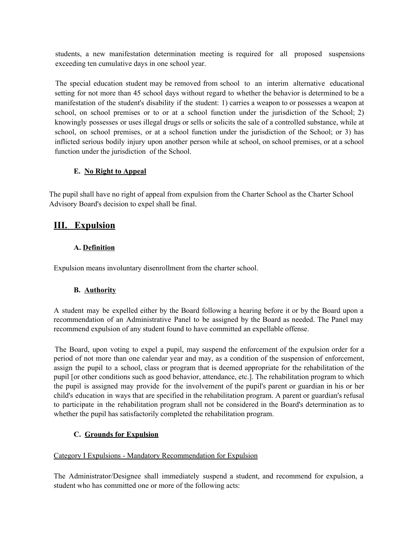students, a new manifestation determination meeting is required for all proposed suspensions exceeding ten cumulative days in one school year.

The special education student may be removed from school to an interim alternative educational setting for not more than 45 school days without regard to whether the behavior is determined to be a manifestation of the student's disability if the student: 1) carries a weapon to or possesses a weapon at school, on school premises or to or at a school function under the jurisdiction of the School; 2) knowingly possesses or uses illegal drugs or sells or solicits the sale of a controlled substance, while at school, on school premises, or at a school function under the jurisdiction of the School; or 3) has inflicted serious bodily injury upon another person while at school, on school premises, or at a school function under the jurisdiction of the School.

# **E. No Right to Appeal**

The pupil shall have no right of appeal from expulsion from the Charter School as the Charter School Advisory Board's decision to expel shall be final.

# **III. Expulsion**

# **A. Definition**

Expulsion means involuntary disenrollment from the charter school.

# **B. Authority**

A student may be expelled either by the Board following a hearing before it or by the Board upon a recommendation of an Administrative Panel to be assigned by the Board as needed. The Panel may recommend expulsion of any student found to have committed an expellable offense.

The Board, upon voting to expel a pupil, may suspend the enforcement of the expulsion order for a period of not more than one calendar year and may, as a condition of the suspension of enforcement, assign the pupil to a school, class or program that is deemed appropriate for the rehabilitation of the pupil [or other conditions such as good behavior, attendance, etc.]. The rehabilitation program to which the pupil is assigned may provide for the involvement of the pupil's parent or guardian in his or her child's education in ways that are specified in the rehabilitation program. A parent or guardian's refusal to participate in the rehabilitation program shall not be considered in the Board's determination as to whether the pupil has satisfactorily completed the rehabilitation program.

# **C. Grounds for Expulsion**

# Category I Expulsions - Mandatory Recommendation for Expulsion

The Administrator/Designee shall immediately suspend a student, and recommend for expulsion, a student who has committed one or more of the following acts: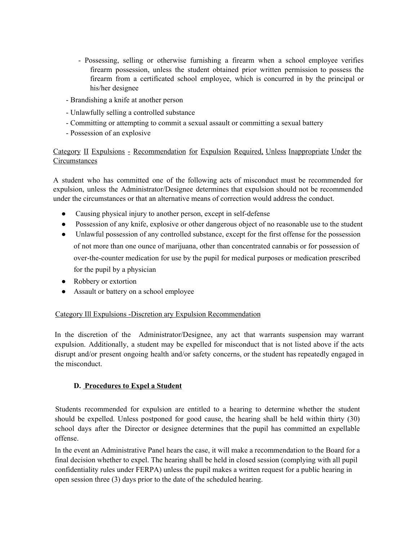- Possessing, selling or otherwise furnishing a firearm when a school employee verifies firearm possession, unless the student obtained prior written permission to possess the firearm from a certificated school employee, which is concurred in by the principal or his/her designee
- Brandishing a knife at another person
- Unlawfully selling a controlled substance
- Committing or attempting to commit a sexual assault or committing a sexual battery
- Possession of an explosive

# Category II Expulsions - Recommendation for Expulsion Required, Unless Inappropriate Under the **Circumstances**

A student who has committed one of the following acts of misconduct must be recommended for expulsion, unless the Administrator/Designee determines that expulsion should not be recommended under the circumstances or that an alternative means of correction would address the conduct.

- Causing physical injury to another person, except in self-defense
- Possession of any knife, explosive or other dangerous object of no reasonable use to the student
- Unlawful possession of any controlled substance, except for the first offense for the possession of not more than one ounce of marijuana, other than concentrated cannabis or for possession of over-the-counter medication for use by the pupil for medical purposes or medication prescribed for the pupil by a physician
- Robbery or extortion
- Assault or battery on a school employee

### Category Ill Expulsions -Discretion ary Expulsion Recommendation

In the discretion of the Administrator/Designee, any act that warrants suspension may warrant expulsion. Additionally, a student may be expelled for misconduct that is not listed above if the acts disrupt and/or present ongoing health and/or safety concerns, or the student has repeatedly engaged in the misconduct.

### **D. Procedures to Expel a Student**

Students recommended for expulsion are entitled to a hearing to determine whether the student should be expelled. Unless postponed for good cause, the hearing shall be held within thirty (30) school days after the Director or designee determines that the pupil has committed an expellable offense.

In the event an Administrative Panel hears the case, it will make a recommendation to the Board for a final decision whether to expel. The hearing shall be held in closed session (complying with all pupil confidentiality rules under FERPA) unless the pupil makes a written request for a public hearing in open session three (3) days prior to the date of the scheduled hearing.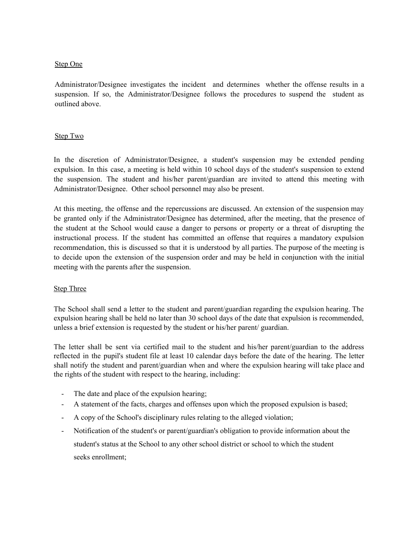### Step One

Administrator/Designee investigates the incident and determines whether the offense results in a suspension. If so, the Administrator/Designee follows the procedures to suspend the student as outlined above.

# Step Two

In the discretion of Administrator/Designee, a student's suspension may be extended pending expulsion. In this case, a meeting is held within 10 school days of the student's suspension to extend the suspension. The student and his/her parent/guardian are invited to attend this meeting with Administrator/Designee. Other school personnel may also be present.

At this meeting, the offense and the repercussions are discussed. An extension of the suspension may be granted only if the Administrator/Designee has determined, after the meeting, that the presence of the student at the School would cause a danger to persons or property or a threat of disrupting the instructional process. If the student has committed an offense that requires a mandatory expulsion recommendation, this is discussed so that it is understood by all parties. The purpose of the meeting is to decide upon the extension of the suspension order and may be held in conjunction with the initial meeting with the parents after the suspension.

# **Step Three**

The School shall send a letter to the student and parent/guardian regarding the expulsion hearing. The expulsion hearing shall be held no later than 30 school days of the date that expulsion is recommended, unless a brief extension is requested by the student or his/her parent/ guardian.

The letter shall be sent via certified mail to the student and his/her parent/guardian to the address reflected in the pupil's student file at least 10 calendar days before the date of the hearing. The letter shall notify the student and parent/guardian when and where the expulsion hearing will take place and the rights of the student with respect to the hearing, including:

- The date and place of the expulsion hearing;
- A statement of the facts, charges and offenses upon which the proposed expulsion is based;
- A copy of the School's disciplinary rules relating to the alleged violation;
- Notification of the student's or parent/guardian's obligation to provide information about the student's status at the School to any other school district or school to which the student seeks enrollment;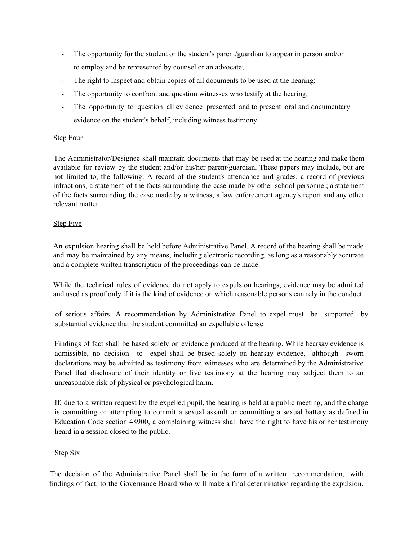- The opportunity for the student or the student's parent/guardian to appear in person and/or to employ and be represented by counsel or an advocate;
- The right to inspect and obtain copies of all documents to be used at the hearing;
- The opportunity to confront and question witnesses who testify at the hearing;
- The opportunity to question all evidence presented and to present oral and documentary evidence on the student's behalf, including witness testimony.

# Step Four

The Administrator/Designee shall maintain documents that may be used at the hearing and make them available for review by the student and/or his/her parent/guardian. These papers may include, but are not limited to, the following: A record of the student's attendance and grades, a record of previous infractions, a statement of the facts surrounding the case made by other school personnel; a statement of the facts surrounding the case made by a witness, a law enforcement agency's report and any other relevant matter.

# **Step Five**

An expulsion hearing shall be held before Administrative Panel. A record of the hearing shall be made and may be maintained by any means, including electronic recording, as long as a reasonably accurate and a complete written transcription of the proceedings can be made.

While the technical rules of evidence do not apply to expulsion hearings, evidence may be admitted and used as proof only if it is the kind of evidence on which reasonable persons can rely in the conduct

of serious affairs. A recommendation by Administrative Panel to expel must be supported by substantial evidence that the student committed an expellable offense.

Findings of fact shall be based solely on evidence produced at the hearing. While hearsay evidence is admissible, no decision to expel shall be based solely on hearsay evidence, although sworn declarations may be admitted as testimony from witnesses who are determined by the Administrative Panel that disclosure of their identity or live testimony at the hearing may subject them to an unreasonable risk of physical or psychological harm.

If, due to a written request by the expelled pupil, the hearing is held at a public meeting, and the charge is committing or attempting to commit a sexual assault or committing a sexual battery as defined in Education Code section 48900, a complaining witness shall have the right to have his or her testimony heard in a session closed to the public.

### Step Six

The decision of the Administrative Panel shall be in the form of a written recommendation, with findings of fact, to the Governance Board who will make a final determination regarding the expulsion.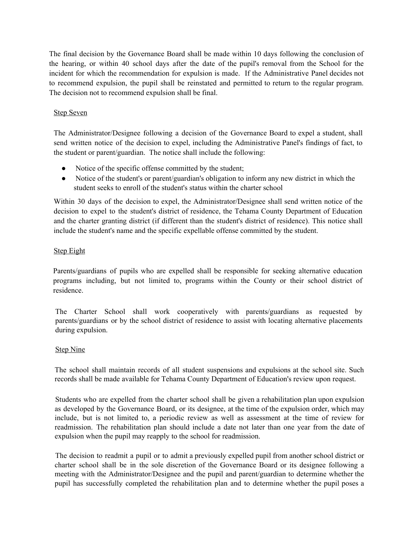The final decision by the Governance Board shall be made within 10 days following the conclusion of the hearing, or within 40 school days after the date of the pupil's removal from the School for the incident for which the recommendation for expulsion is made. If the Administrative Panel decides not to recommend expulsion, the pupil shall be reinstated and permitted to return to the regular program. The decision not to recommend expulsion shall be final.

# Step Seven

The Administrator/Designee following a decision of the Governance Board to expel a student, shall send written notice of the decision to expel, including the Administrative Panel's findings of fact, to the student or parent/guardian. The notice shall include the following:

- Notice of the specific offense committed by the student;
- Notice of the student's or parent/guardian's obligation to inform any new district in which the student seeks to enroll of the student's status within the charter school

Within 30 days of the decision to expel, the Administrator/Designee shall send written notice of the decision to expel to the student's district of residence, the Tehama County Department of Education and the charter granting district (if different than the student's district of residence). This notice shall include the student's name and the specific expellable offense committed by the student.

### Step Eight

Parents/guardians of pupils who are expelled shall be responsible for seeking alternative education programs including, but not limited to, programs within the County or their school district of residence.

The Charter School shall work cooperatively with parents/guardians as requested by parents/guardians or by the school district of residence to assist with locating alternative placements during expulsion.

### **Step Nine**

The school shall maintain records of all student suspensions and expulsions at the school site. Such records shall be made available for Tehama County Department of Education's review upon request.

Students who are expelled from the charter school shall be given a rehabilitation plan upon expulsion as developed by the Governance Board, or its designee, at the time of the expulsion order, which may include, but is not limited to, a periodic review as well as assessment at the time of review for readmission. The rehabilitation plan should include a date not later than one year from the date of expulsion when the pupil may reapply to the school for readmission.

The decision to readmit a pupil or to admit a previously expelled pupil from another school district or charter school shall be in the sole discretion of the Governance Board or its designee following a meeting with the Administrator/Designee and the pupil and parent/guardian to determine whether the pupil has successfully completed the rehabilitation plan and to determine whether the pupil poses a